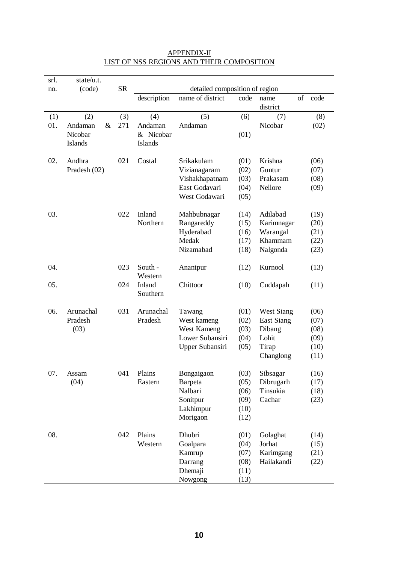| srl. | state/u.t.         |           |                             |                                |      |                   |    |      |
|------|--------------------|-----------|-----------------------------|--------------------------------|------|-------------------|----|------|
| no.  | (code)             | <b>SR</b> |                             | detailed composition of region |      |                   |    |      |
|      |                    |           | description                 | name of district               | code | name<br>district  | of | code |
| (1)  | (2)                | (3)       | (4)                         | (5)                            | (6)  | (7)               |    | (8)  |
| 01.  | Andaman<br>$\&$    | 271       | Andaman                     | Andaman                        |      | Nicobar           |    | (02) |
|      | Nicobar<br>Islands |           | & Nicobar<br><b>Islands</b> |                                | (01) |                   |    |      |
| 02.  | Andhra             | 021       | Costal                      | Srikakulam                     | (01) | Krishna           |    | (06) |
|      | Pradesh (02)       |           |                             | Vizianagaram                   | (02) | Guntur            |    | (07) |
|      |                    |           |                             | Vishakhapatnam                 | (03) | Prakasam          |    | (08) |
|      |                    |           |                             | East Godavari                  | (04) | Nellore           |    | (09) |
|      |                    |           |                             | West Godawari                  | (05) |                   |    |      |
| 03.  |                    | 022       | Inland                      | Mahbubnagar                    | (14) | Adilabad          |    | (19) |
|      |                    |           | Northern                    | Rangareddy                     | (15) | Karimnagar        |    | (20) |
|      |                    |           |                             | Hyderabad                      | (16) | Warangal          |    | (21) |
|      |                    |           |                             | Medak                          | (17) | Khammam           |    | (22) |
|      |                    |           |                             | Nizamabad                      | (18) | Nalgonda          |    | (23) |
| 04.  |                    | 023       | South -<br>Western          | Anantpur                       | (12) | Kurnool           |    | (13) |
| 05.  |                    | 024       | Inland<br>Southern          | Chittoor                       | (10) | Cuddapah          |    | (11) |
| 06.  | Arunachal          | 031       | Arunachal                   | Tawang                         | (01) | <b>West Siang</b> |    | (06) |
|      | Pradesh            |           | Pradesh                     | West kameng                    | (02) | <b>East Siang</b> |    | (07) |
|      | (03)               |           |                             | West Kameng                    | (03) | Dibang            |    | (08) |
|      |                    |           |                             | Lower Subansiri                | (04) | Lohit             |    | (09) |
|      |                    |           |                             | Upper Subansiri                | (05) | Tirap             |    | (10) |
|      |                    |           |                             |                                |      | Changlong         |    | (11) |
| 07.  | Assam              | 041       | Plains                      | Bongaigaon                     | (03) | Sibsagar          |    | (16) |
|      | (04)               |           | Eastern                     | Barpeta                        | (05) | Dibrugarh         |    | (17) |
|      |                    |           |                             | Nalbari                        | (06) | Tinsukia          |    | (18) |
|      |                    |           |                             | Sonitpur                       | (09) | Cachar            |    | (23) |
|      |                    |           |                             | Lakhimpur                      | (10) |                   |    |      |
|      |                    |           |                             | Morigaon                       | (12) |                   |    |      |
| 08.  |                    | 042       | Plains                      | Dhubri                         | (01) | Golaghat          |    | (14) |
|      |                    |           | Western                     | Goalpara                       | (04) | Jorhat            |    | (15) |
|      |                    |           |                             | Kamrup                         | (07) | Karimgang         |    | (21) |
|      |                    |           |                             | Darrang                        | (08) | Hailakandi        |    | (22) |
|      |                    |           |                             | Dhemaji                        | (11) |                   |    |      |
|      |                    |           |                             | Nowgong                        | (13) |                   |    |      |

## APPENDIX-II LIST OF NSS REGIONS AND THEIR COMPOSITION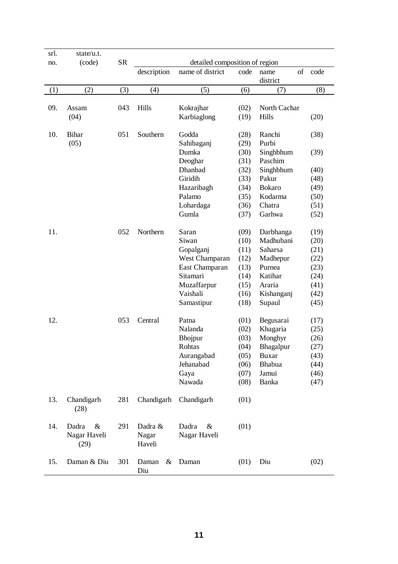| srl.<br>no. | state/u.t.<br>(code)                  | <b>SR</b> |                            | detailed composition of region |      |                        |      |
|-------------|---------------------------------------|-----------|----------------------------|--------------------------------|------|------------------------|------|
|             |                                       |           | description                | name of district               | code | of<br>name<br>district | code |
| (1)         | (2)                                   | (3)       | (4)                        | (5)                            | (6)  | (7)                    | (8)  |
| 09.         | Assam                                 | 043       | Hills                      | Kokrajhar                      | (02) | North Cachar           |      |
|             | (04)                                  |           |                            | Karbiaglong                    | (19) | Hills                  | (20) |
| 10.         | <b>Bihar</b>                          | 051       | Southern                   | Godda                          | (28) | Ranchi                 | (38) |
|             | (05)                                  |           |                            | Sahibaganj                     | (29) | Purbi                  |      |
|             |                                       |           |                            | Dumka                          | (30) | Singhbhum              | (39) |
|             |                                       |           |                            | Deoghar                        | (31) | Paschim                |      |
|             |                                       |           |                            | Dhanbad                        | (32) | Singhbhum              | (40) |
|             |                                       |           |                            | Giridih                        | (33) | Pakur                  | (48) |
|             |                                       |           |                            | Hazaribagh                     | (34) | <b>Bokaro</b>          | (49) |
|             |                                       |           |                            | Palamo                         | (35) | Kodarma                | (50) |
|             |                                       |           |                            | Lohardaga                      | (36) | Chatra                 | (51) |
|             |                                       |           |                            | Gumla                          | (37) | Garhwa                 | (52) |
| 11.         |                                       | 052       | Northern                   | Saran                          | (09) | Darbhanga              | (19) |
|             |                                       |           |                            | Siwan                          | (10) | Madhubani              | (20) |
|             |                                       |           |                            | Gopalganj                      | (11) | Saharsa                | (21) |
|             |                                       |           |                            | West Champaran                 | (12) | Madhepur               | (22) |
|             |                                       |           |                            | East Champaran                 | (13) | Purnea                 | (23) |
|             |                                       |           |                            | Sitamari                       | (14) | Katihar                | (24) |
|             |                                       |           |                            | Muzaffarpur                    | (15) | Araria                 | (41) |
|             |                                       |           |                            | Vaishali                       | (16) | Kishanganj             | (42) |
|             |                                       |           |                            | Samastipur                     | (18) | Supaul                 | (45) |
| 12.         |                                       | 053       | Central                    | Patna                          | (01) | Begusarai              | (17) |
|             |                                       |           |                            | Nalanda                        | (02) | Khagaria               | (25) |
|             |                                       |           |                            | Bhojpur                        | (03) | Monghyr                | (26) |
|             |                                       |           |                            | Rohtas                         | (04) | Bhagalpur              | (27) |
|             |                                       |           |                            | Aurangabad                     | (05) | <b>Buxar</b>           | (43) |
|             |                                       |           |                            | Jehanabad                      | (06) | Bhabua                 | (44) |
|             |                                       |           |                            | Gaya                           | (07) | Jamui                  | (46) |
|             |                                       |           |                            | Nawada                         | (08) | Banka                  | (47) |
| 13.         | Chandigarh<br>(28)                    | 281       | Chandigarh                 | Chandigarh                     | (01) |                        |      |
| 14.         | Dadra<br>$\&$<br>Nagar Haveli<br>(29) | 291       | Dadra &<br>Nagar<br>Haveli | Dadra<br>&<br>Nagar Haveli     | (01) |                        |      |
| 15.         | Daman & Diu                           | 301       | Daman<br>&<br>Diu          | Daman                          | (01) | Diu                    | (02) |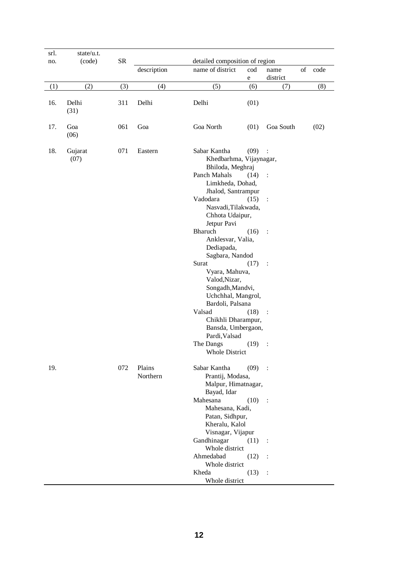| state/u.t.<br>(code) | <b>SR</b> |                    |                                                                                                     |                                              |                                                                                                                                                                                                                                                                                                                                                                                                                               |                                                                                                                                                                                                            |      |
|----------------------|-----------|--------------------|-----------------------------------------------------------------------------------------------------|----------------------------------------------|-------------------------------------------------------------------------------------------------------------------------------------------------------------------------------------------------------------------------------------------------------------------------------------------------------------------------------------------------------------------------------------------------------------------------------|------------------------------------------------------------------------------------------------------------------------------------------------------------------------------------------------------------|------|
|                      |           | description        | name of district                                                                                    | cod                                          | name                                                                                                                                                                                                                                                                                                                                                                                                                          | of                                                                                                                                                                                                         | code |
| (2)                  | (3)       | (4)                | (5)                                                                                                 | (6)                                          | (7)                                                                                                                                                                                                                                                                                                                                                                                                                           |                                                                                                                                                                                                            | (8)  |
| Delhi<br>(31)        | 311       | Delhi              | Delhi                                                                                               | (01)                                         |                                                                                                                                                                                                                                                                                                                                                                                                                               |                                                                                                                                                                                                            |      |
| Goa<br>(06)          | 061       | Goa                | Goa North                                                                                           | (01)                                         | Goa South                                                                                                                                                                                                                                                                                                                                                                                                                     |                                                                                                                                                                                                            | (02) |
| Gujarat<br>(07)      | 071       | Eastern            | Sabar Kantha<br>Panch Mahals<br>Vadodara<br>Jetpur Pavi<br>Bharuch<br>Dediapada,<br>Surat<br>Valsad | (09)<br>(14)<br>(15)<br>(16)<br>(17)<br>(18) | :<br>:<br>$\ddot{\cdot}$<br>:<br>$\ddot{\cdot}$                                                                                                                                                                                                                                                                                                                                                                               |                                                                                                                                                                                                            |      |
|                      | 072       | Plains<br>Northern | The Dangs<br>Sabar Kantha<br>Bayad, Idar<br>Mahesana<br>Gandhinagar<br>Ahmedabad<br>Kheda           | (12)<br>(13)                                 | $\ddot{\cdot}$<br>$\ddot{\cdot}$<br>:                                                                                                                                                                                                                                                                                                                                                                                         |                                                                                                                                                                                                            |      |
|                      |           |                    |                                                                                                     |                                              | e<br>Bhiloda, Meghraj<br>Limkheda, Dohad,<br>Jhalod, Santrampur<br>Nasvadi, Tilakwada,<br>Chhota Udaipur,<br>Anklesvar, Valia,<br>Sagbara, Nandod<br>Vyara, Mahuva,<br>Valod, Nizar,<br>Songadh, Mandvi,<br>Bardoli, Palsana<br>Pardi, Valsad<br><b>Whole District</b><br>Prantij, Modasa,<br>Mahesana, Kadi,<br>Patan, Sidhpur,<br>Kheralu, Kalol<br>Visnagar, Vijapur<br>Whole district<br>Whole district<br>Whole district | detailed composition of region<br>district<br>Khedbarhma, Vijaynagar,<br>Uchchhal, Mangrol,<br>Chikhli Dharampur,<br>Bansda, Umbergaon,<br>$(19)$ :<br>$(09)$ :<br>Malpur, Himatnagar,<br>$(10)$ :<br>(11) |      |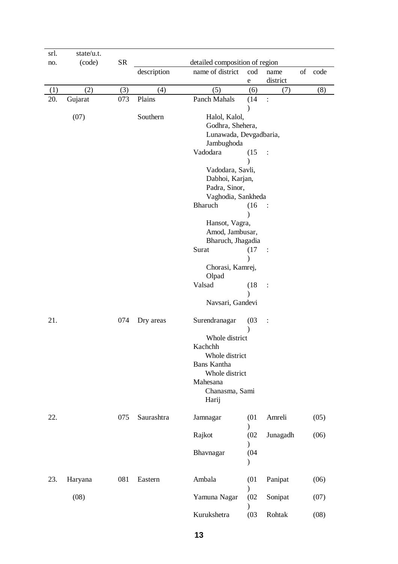| srl. | state/u.t. |           |             |                                |               |                |    |      |
|------|------------|-----------|-------------|--------------------------------|---------------|----------------|----|------|
| no.  | (code)     | <b>SR</b> |             | detailed composition of region |               |                |    |      |
|      |            |           | description | name of district               | cod           | name           | of | code |
|      |            |           |             |                                | e             | district       |    |      |
| (1)  | (2)        | (3)       | (4)         | (5)                            | (6)           | (7)            |    | (8)  |
| 20.  | Gujarat    | 073       | Plains      | Panch Mahals                   | (14)          | $\ddot{\cdot}$ |    |      |
|      |            |           |             |                                | $\mathcal{E}$ |                |    |      |
|      | (07)       |           | Southern    | Halol, Kalol,                  |               |                |    |      |
|      |            |           |             | Godhra, Shehera,               |               |                |    |      |
|      |            |           |             | Lunawada, Devgadbaria,         |               |                |    |      |
|      |            |           |             | Jambughoda                     |               |                |    |      |
|      |            |           |             | Vadodara                       | (15)          |                |    |      |
|      |            |           |             |                                | $\mathcal{E}$ |                |    |      |
|      |            |           |             | Vadodara, Savli,               |               |                |    |      |
|      |            |           |             | Dabhoi, Karjan,                |               |                |    |      |
|      |            |           |             | Padra, Sinor,                  |               |                |    |      |
|      |            |           |             | Vaghodia, Sankheda             |               |                |    |      |
|      |            |           |             | Bharuch                        | (16)          |                |    |      |
|      |            |           |             |                                |               |                |    |      |
|      |            |           |             | Hansot, Vagra,                 |               |                |    |      |
|      |            |           |             | Amod, Jambusar,                |               |                |    |      |
|      |            |           |             | Bharuch, Jhagadia              |               |                |    |      |
|      |            |           |             | Surat                          | (17)          |                |    |      |
|      |            |           |             |                                |               |                |    |      |
|      |            |           |             |                                |               |                |    |      |
|      |            |           |             | Chorasi, Kamrej,               |               |                |    |      |
|      |            |           |             | Olpad<br>Valsad                | (18)          |                |    |      |
|      |            |           |             |                                | $\lambda$     | $\ddot{\cdot}$ |    |      |
|      |            |           |             | Navsari, Gandevi               |               |                |    |      |
| 21.  |            | 074       | Dry areas   | Surendranagar                  | (03)          | $\ddot{\cdot}$ |    |      |
|      |            |           |             |                                |               |                |    |      |
|      |            |           |             | Whole district                 |               |                |    |      |
|      |            |           |             | Kachchh                        |               |                |    |      |
|      |            |           |             | Whole district                 |               |                |    |      |
|      |            |           |             | Bans Kantha                    |               |                |    |      |
|      |            |           |             | Whole district                 |               |                |    |      |
|      |            |           |             | Mahesana                       |               |                |    |      |
|      |            |           |             | Chanasma, Sami                 |               |                |    |      |
|      |            |           |             | Harij                          |               |                |    |      |
| 22.  |            | 075       | Saurashtra  | Jamnagar                       | (01)          | Amreli         |    | (05) |
|      |            |           |             |                                | $\mathcal{L}$ |                |    |      |
|      |            |           |             | Rajkot                         | (02)          | Junagadh       |    | (06) |
|      |            |           |             |                                |               |                |    |      |
|      |            |           |             | Bhavnagar                      | (04)          |                |    |      |
|      |            |           |             |                                | $\mathcal{E}$ |                |    |      |
| 23.  | Haryana    | 081       | Eastern     | Ambala                         | (01)          | Panipat        |    | (06) |
|      |            |           |             |                                | $\mathcal{E}$ |                |    |      |
|      | (08)       |           |             | Yamuna Nagar                   | (02)          | Sonipat        |    | (07) |
|      |            |           |             |                                | $\mathcal{E}$ |                |    |      |
|      |            |           |             | Kurukshetra                    | (03)          | Rohtak         |    | (08) |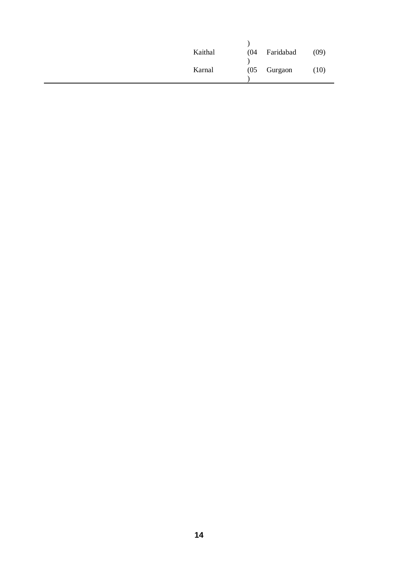| Kaithal | (04 Faridabad               | (09) |
|---------|-----------------------------|------|
|         |                             |      |
| Karnal  | $(05 \quad \text{Gurgaon})$ | (10) |
|         |                             |      |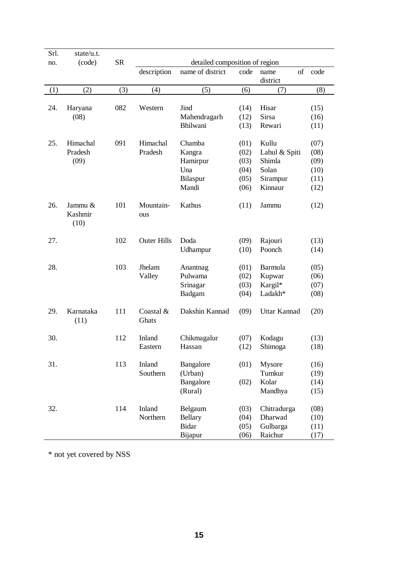| Srl.<br>no. | state/ $u.t.$<br>(code)    | <b>SR</b> |                    | detailed composition of region |      |                        |      |
|-------------|----------------------------|-----------|--------------------|--------------------------------|------|------------------------|------|
|             |                            |           | description        | name of district               | code | of<br>name<br>district | code |
| (1)         | (2)                        | (3)       | (4)                | (5)                            | (6)  | (7)                    | (8)  |
| 24.         | Haryana                    | 082       | Western            | Jind                           | (14) | Hisar                  | (15) |
|             | (08)                       |           |                    | Mahendragarh                   | (12) | Sirsa                  | (16) |
|             |                            |           |                    | Bhilwani                       | (13) | Rewari                 | (11) |
| 25.         | Himachal                   | 091       | Himachal           | Chamba                         | (01) | Kullu                  | (07) |
|             | Pradesh                    |           | Pradesh            | Kangra                         | (02) | Lahul & Spiti          | (08) |
|             | (09)                       |           |                    | Hamirpur                       | (03) | Shimla                 | (09) |
|             |                            |           |                    | Una                            | (04) | Solan                  | (10) |
|             |                            |           |                    | Bilaspur                       | (05) | Sirampur               | (11) |
|             |                            |           |                    | Mandi                          | (06) | Kinnaur                | (12) |
| 26.         | Jammu &<br>Kashmir<br>(10) | 101       | Mountain-<br>ous   | Kathus                         | (11) | Jammu                  | (12) |
| 27.         |                            | 102       | <b>Outer Hills</b> | Doda                           | (09) | Rajouri                | (13) |
|             |                            |           |                    | Udhampur                       | (10) | Poonch                 | (14) |
| 28.         |                            | 103       | Jhelam             | Anantnag                       | (01) | Barmula                | (05) |
|             |                            |           | Valley             | Pulwama                        | (02) | Kupwar                 | (06) |
|             |                            |           |                    | Srinagar                       | (03) | Kargil*                | (07) |
|             |                            |           |                    | Badgam                         | (04) | Ladakh*                | (08) |
| 29.         | Karnataka<br>(11)          | 111       | Coastal &<br>Ghats | Dakshin Kannad                 | (09) | Uttar Kannad           | (20) |
| 30.         |                            | 112       | Inland             | Chikmagalur                    | (07) | Kodagu                 | (13) |
|             |                            |           | Eastern            | Hassan                         | (12) | Shimoga                | (18) |
| 31.         |                            | 113       | Inland             | Bangalore                      | (01) | Mysore                 | (16) |
|             |                            |           | Southern           | (Urban)                        |      | Tumkur                 | (19) |
|             |                            |           |                    | Bangalore                      | (02) | Kolar                  | (14) |
|             |                            |           |                    | (Rural)                        |      | Mandhya                | (15) |
| 32.         |                            | 114       | Inland             | Belgaum                        | (03) | Chitradurga            | (08) |
|             |                            |           | Northern           | <b>Bellary</b>                 | (04) | Dharwad                | (10) |
|             |                            |           |                    | <b>Bidar</b>                   | (05) | Gulbarga               | (11) |
|             |                            |           |                    | Bijapur                        | (06) | Raichur                | (17) |

\* not yet covered by NSS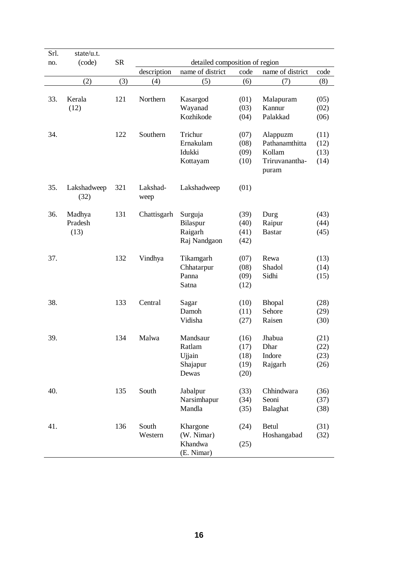| Srl.<br>no. | state/u.t.<br>(code) | <b>SR</b> |             | detailed composition of region |      |                  |      |
|-------------|----------------------|-----------|-------------|--------------------------------|------|------------------|------|
|             |                      |           | description | name of district               | code | name of district | code |
|             | (2)                  | (3)       | (4)         | (5)                            | (6)  | (7)              | (8)  |
|             |                      |           |             |                                |      |                  |      |
| 33.         | Kerala               | 121       | Northern    | Kasargod                       | (01) | Malapuram        | (05) |
|             | (12)                 |           |             | Wayanad                        | (03) | Kannur           | (02) |
|             |                      |           |             | Kozhikode                      | (04) | Palakkad         | (06) |
| 34.         |                      | 122       | Southern    | Trichur                        | (07) | Alappuzm         | (11) |
|             |                      |           |             | Ernakulam                      | (08) | Pathanamthitta   | (12) |
|             |                      |           |             | Idukki                         | (09) | Kollam           | (13) |
|             |                      |           |             | Kottayam                       | (10) | Triruvanantha-   | (14) |
|             |                      |           |             |                                |      | puram            |      |
| 35.         | Lakshadweep          | 321       | Lakshad-    | Lakshadweep                    | (01) |                  |      |
|             | (32)                 |           | weep        |                                |      |                  |      |
| 36.         | Madhya               | 131       | Chattisgarh | Surguja                        | (39) | Durg             | (43) |
|             | Pradesh              |           |             | Bilaspur                       | (40) | Raipur           | (44) |
|             | (13)                 |           |             | Raigarh                        | (41) | <b>Bastar</b>    | (45) |
|             |                      |           |             | Raj Nandgaon                   | (42) |                  |      |
| 37.         |                      | 132       | Vindhya     | Tikamgarh                      | (07) | Rewa             | (13) |
|             |                      |           |             | Chhatarpur                     | (08) | Shadol           | (14) |
|             |                      |           |             | Panna                          | (09) | Sidhi            | (15) |
|             |                      |           |             | Satna                          | (12) |                  |      |
| 38.         |                      | 133       | Central     | Sagar                          | (10) | Bhopal           | (28) |
|             |                      |           |             | Damoh                          | (11) | Sehore           | (29) |
|             |                      |           |             | Vidisha                        | (27) | Raisen           | (30) |
|             |                      |           |             |                                |      |                  |      |
| 39.         |                      | 134       | Malwa       | Mandsaur                       | (16) | Jhabua           | (21) |
|             |                      |           |             | Ratlam                         | (17) | Dhar             | (22) |
|             |                      |           |             | Ujjain                         | (18) | Indore           | (23) |
|             |                      |           |             | Shajapur                       | (19) | Rajgarh          | (26) |
|             |                      |           |             | Dewas                          | (20) |                  |      |
| 40.         |                      | 135       | South       | Jabalpur                       | (33) | Chhindwara       | (36) |
|             |                      |           |             | Narsimhapur                    | (34) | Seoni            | (37) |
|             |                      |           |             | Mandla                         | (35) | Balaghat         | (38) |
| 41.         |                      | 136       | South       | Khargone                       | (24) | <b>Betul</b>     | (31) |
|             |                      |           | Western     | (W. Nimar)                     |      | Hoshangabad      | (32) |
|             |                      |           |             | Khandwa                        | (25) |                  |      |
|             |                      |           |             | (E. Nimar)                     |      |                  |      |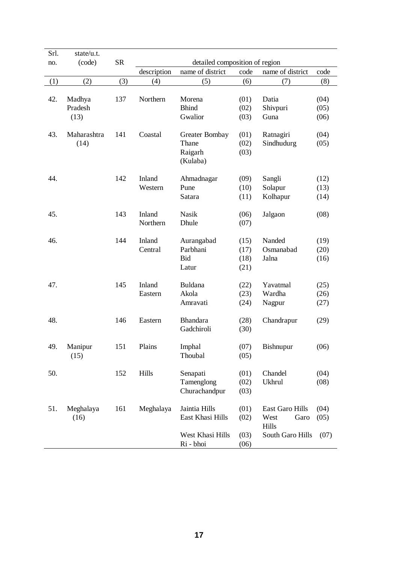| Srl. | state/u.t.<br>(code) | <b>SR</b> | detailed composition of region |                  |      |                           |      |  |  |
|------|----------------------|-----------|--------------------------------|------------------|------|---------------------------|------|--|--|
| no.  |                      |           | description                    | name of district | code | name of district          | code |  |  |
| (1)  | (2)                  | (3)       | (4)                            | (5)              | (6)  | (7)                       | (8)  |  |  |
|      |                      |           |                                |                  |      |                           |      |  |  |
| 42.  | Madhya               | 137       | Northern                       | Morena           | (01) | Datia                     | (04) |  |  |
|      | Pradesh              |           |                                | <b>Bhind</b>     | (02) | Shivpuri                  | (05) |  |  |
|      | (13)                 |           |                                | Gwalior          | (03) | Guna                      | (06) |  |  |
| 43.  | Maharashtra          | 141       | Coastal                        | Greater Bombay   | (01) | Ratnagiri                 | (04) |  |  |
|      | (14)                 |           |                                | Thane            | (02) | Sindhudurg                | (05) |  |  |
|      |                      |           |                                | Raigarh          | (03) |                           |      |  |  |
|      |                      |           |                                | (Kulaba)         |      |                           |      |  |  |
| 44.  |                      | 142       | Inland                         | Ahmadnagar       | (09) | Sangli                    | (12) |  |  |
|      |                      |           | Western                        | Pune             | (10) | Solapur                   | (13) |  |  |
|      |                      |           |                                | Satara           | (11) | Kolhapur                  | (14) |  |  |
| 45.  |                      | 143       | Inland                         | <b>Nasik</b>     | (06) | Jalgaon                   | (08) |  |  |
|      |                      |           | Northern                       | Dhule            | (07) |                           |      |  |  |
| 46.  |                      | 144       | Inland                         | Aurangabad       | (15) | Nanded                    | (19) |  |  |
|      |                      |           | Central                        | Parbhani         | (17) | Osmanabad                 | (20) |  |  |
|      |                      |           |                                | <b>Bid</b>       | (18) | Jalna                     | (16) |  |  |
|      |                      |           |                                | Latur            | (21) |                           |      |  |  |
| 47.  |                      | 145       | Inland                         | Buldana          | (22) | Yavatmal                  | (25) |  |  |
|      |                      |           | Eastern                        | Akola            | (23) | Wardha                    | (26) |  |  |
|      |                      |           |                                | Amravati         | (24) | Nagpur                    | (27) |  |  |
| 48.  |                      | 146       | Eastern                        | <b>Bhandara</b>  | (28) | Chandrapur                | (29) |  |  |
|      |                      |           |                                | Gadchiroli       | (30) |                           |      |  |  |
| 49.  | Manipur              | 151       | Plains                         | Imphal           | (07) | <b>Bishnupur</b>          | (06) |  |  |
|      | (15)                 |           |                                | Thoubal          | (05) |                           |      |  |  |
| 50.  |                      | 152       | Hills                          | Senapati         | (01) | Chandel                   | (04) |  |  |
|      |                      |           |                                | Tamenglong       | (02) | <b>Ukhrul</b>             | (08) |  |  |
|      |                      |           |                                | Churachandpur    | (03) |                           |      |  |  |
| 51.  | Meghalaya            | 161       | Meghalaya                      | Jaintia Hills    | (01) | <b>East Garo Hills</b>    | (04) |  |  |
|      | (16)                 |           |                                | East Khasi Hills | (02) | West<br>Garo              | (05) |  |  |
|      |                      |           |                                | West Khasi Hills | (03) | Hills<br>South Garo Hills | (07) |  |  |
|      |                      |           |                                | Ri - bhoi        | (06) |                           |      |  |  |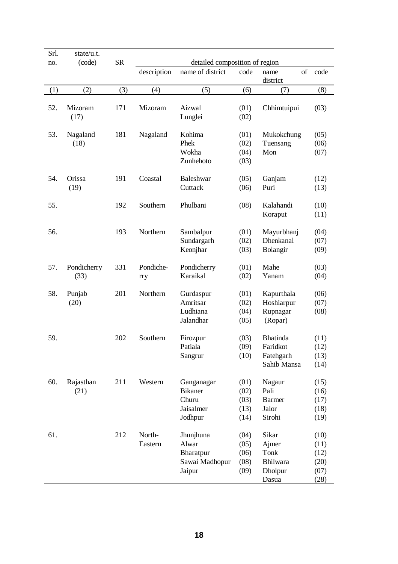| Srl.<br>no. | state/u.t.<br>(code) | <b>SR</b> |                   | detailed composition of region                                |                                      |                                                         |                                              |
|-------------|----------------------|-----------|-------------------|---------------------------------------------------------------|--------------------------------------|---------------------------------------------------------|----------------------------------------------|
|             |                      |           | description       | name of district                                              | code                                 | of<br>name<br>district                                  | code                                         |
| (1)         | (2)                  | (3)       | (4)               | (5)                                                           | (6)                                  | (7)                                                     | (8)                                          |
| 52.         | Mizoram<br>(17)      | 171       | Mizoram           | Aizwal<br>Lunglei                                             | (01)<br>(02)                         | Chhimtuipui                                             | (03)                                         |
| 53.         | Nagaland<br>(18)     | 181       | Nagaland          | Kohima<br>Phek<br>Wokha<br>Zunhehoto                          | (01)<br>(02)<br>(04)<br>(03)         | Mukokchung<br>Tuensang<br>Mon                           | (05)<br>(06)<br>(07)                         |
| 54.         | Orissa<br>(19)       | 191       | Coastal           | Baleshwar<br>Cuttack                                          | (05)<br>(06)                         | Ganjam<br>Puri                                          | (12)<br>(13)                                 |
| 55.         |                      | 192       | Southern          | Phulbani                                                      | (08)                                 | Kalahandi<br>Koraput                                    | (10)<br>(11)                                 |
| 56.         |                      | 193       | Northern          | Sambalpur<br>Sundargarh<br>Keonjhar                           | (01)<br>(02)<br>(03)                 | Mayurbhanj<br>Dhenkanal<br>Bolangir                     | (04)<br>(07)<br>(09)                         |
| 57.         | Pondicherry<br>(33)  | 331       | Pondiche-<br>rry  | Pondicherry<br>Karaikal                                       | (01)<br>(02)                         | Mahe<br>Yanam                                           | (03)<br>(04)                                 |
| 58.         | Punjab<br>(20)       | 201       | Northern          | Gurdaspur<br>Amritsar<br>Ludhiana<br>Jalandhar                | (01)<br>(02)<br>(04)<br>(05)         | Kapurthala<br>Hoshiarpur<br>Rupnagar<br>(Ropar)         | (06)<br>(07)<br>(08)                         |
| 59.         |                      | 202       | Southern          | Firozpur<br>Patiala<br>Sangrur                                | (03)<br>(09)<br>(10)                 | <b>Bhatinda</b><br>Faridkot<br>Fatehgarh<br>Sahib Mansa | (11)<br>(12)<br>(13)<br>(14)                 |
| 60.         | Rajasthan<br>(21)    | 211       | Western           | Ganganagar<br><b>Bikaner</b><br>Churu<br>Jaisalmer<br>Jodhpur | (01)<br>(02)<br>(03)<br>(13)<br>(14) | Nagaur<br>Pali<br><b>Barmer</b><br>Jalor<br>Sirohi      | (15)<br>(16)<br>(17)<br>(18)<br>(19)         |
| 61.         |                      | 212       | North-<br>Eastern | Jhunjhuna<br>Alwar<br>Bharatpur<br>Sawai Madhopur<br>Jaipur   | (04)<br>(05)<br>(06)<br>(08)<br>(09) | Sikar<br>Ajmer<br>Tonk<br>Bhilwara<br>Dholpur<br>Dasua  | (10)<br>(11)<br>(12)<br>(20)<br>(07)<br>(28) |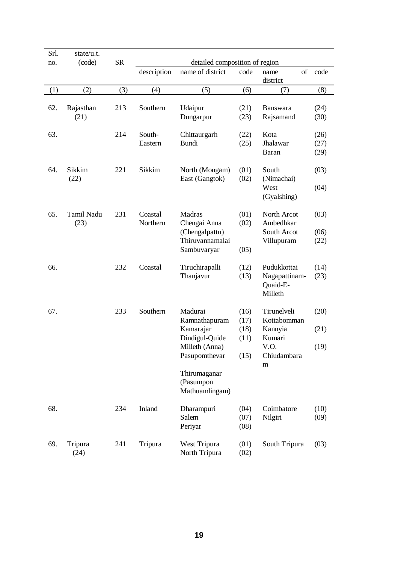| Srl.<br>no. | state/u.t.<br>(code) | <b>SR</b> |                     | detailed composition of region                                                                                                            |                                      |                                                                             |                      |
|-------------|----------------------|-----------|---------------------|-------------------------------------------------------------------------------------------------------------------------------------------|--------------------------------------|-----------------------------------------------------------------------------|----------------------|
|             |                      |           | description         | name of district                                                                                                                          | code                                 | of<br>name<br>district                                                      | code                 |
| (1)         | (2)                  | (3)       | (4)                 | (5)                                                                                                                                       | (6)                                  | (7)                                                                         | (8)                  |
| 62.         | Rajasthan<br>(21)    | 213       | Southern            | Udaipur<br>Dungarpur                                                                                                                      | (21)<br>(23)                         | <b>Banswara</b><br>Rajsamand                                                | (24)<br>(30)         |
| 63.         |                      | 214       | South-<br>Eastern   | Chittaurgarh<br><b>Bundi</b>                                                                                                              | (22)<br>(25)                         | Kota<br>Jhalawar<br>Baran                                                   | (26)<br>(27)<br>(29) |
| 64.         | Sikkim<br>(22)       | 221       | Sikkim              | North (Mongam)<br>East (Gangtok)                                                                                                          | (01)<br>(02)                         | South<br>(Nimachai)<br>West<br>(Gyalshing)                                  | (03)<br>(04)         |
| 65.         | Tamil Nadu<br>(23)   | 231       | Coastal<br>Northern | Madras<br>Chengai Anna<br>(Chengalpattu)<br>Thiruvannamalai<br>Sambuvaryar                                                                | (01)<br>(02)<br>(05)                 | North Arcot<br>Ambedhkar<br>South Arcot<br>Villupuram                       | (03)<br>(06)<br>(22) |
| 66.         |                      | 232       | Coastal             | Tiruchirapalli<br>Thanjavur                                                                                                               | (12)<br>(13)                         | Pudukkottai<br>Nagapattinam-<br>Quaid-E-<br>Milleth                         | (14)<br>(23)         |
| 67.         |                      | 233       | Southern            | Madurai<br>Ramnathapuram<br>Kamarajar<br>Dindigul-Quide<br>Milleth (Anna)<br>Pasupomthevar<br>Thirumaganar<br>(Pasumpon<br>Mathuamlingam) | (16)<br>(17)<br>(18)<br>(11)<br>(15) | Tirunelveli<br>Kottabomman<br>Kannyia<br>Kumari<br>V.O.<br>Chiudambara<br>m | (20)<br>(21)<br>(19) |
| 68.         |                      | 234       | Inland              | Dharampuri<br>Salem<br>Periyar                                                                                                            | (04)<br>(07)<br>(08)                 | Coimbatore<br>Nilgiri                                                       | (10)<br>(09)         |
| 69.         | Tripura<br>(24)      | 241       | Tripura             | West Tripura<br>North Tripura                                                                                                             | (01)<br>(02)                         | South Tripura                                                               | (03)                 |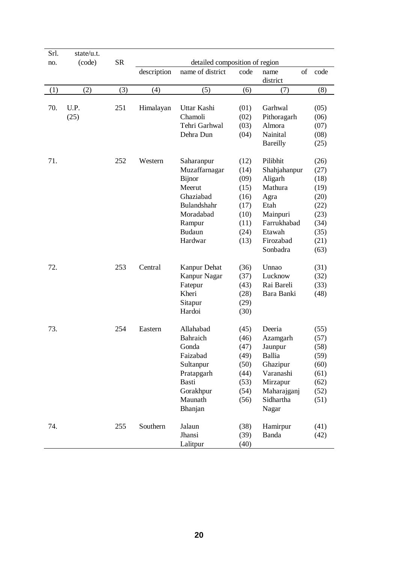| Srl.<br>no. | state/u.t.<br>(code) | <b>SR</b> |             | detailed composition of region |      |                        |      |
|-------------|----------------------|-----------|-------------|--------------------------------|------|------------------------|------|
|             |                      |           | description | name of district               | code | of<br>name<br>district | code |
| (1)         | (2)                  | (3)       | (4)         | (5)                            | (6)  | (7)                    | (8)  |
| 70.         | U.P.                 | 251       | Himalayan   | Uttar Kashi                    | (01) | Garhwal                | (05) |
|             | (25)                 |           |             | Chamoli                        | (02) | Pithoragarh            | (06) |
|             |                      |           |             | Tehri Garhwal                  | (03) | Almora                 | (07) |
|             |                      |           |             | Dehra Dun                      | (04) | Nainital               | (08) |
|             |                      |           |             |                                |      | Bareilly               | (25) |
| 71.         |                      | 252       | Western     | Saharanpur                     | (12) | Pilibhit               | (26) |
|             |                      |           |             | Muzaffarnagar                  | (14) | Shahjahanpur           | (27) |
|             |                      |           |             | <b>Bijnor</b>                  | (09) | Aligarh                | (18) |
|             |                      |           |             | Meerut                         | (15) | Mathura                | (19) |
|             |                      |           |             | Ghaziabad                      | (16) | Agra                   | (20) |
|             |                      |           |             | Bulandshahr                    | (17) | Etah                   | (22) |
|             |                      |           |             | Moradabad                      | (10) | Mainpuri               | (23) |
|             |                      |           |             | Rampur                         | (11) | Farrukhabad            | (34) |
|             |                      |           |             | <b>Budaun</b>                  | (24) | Etawah                 | (35) |
|             |                      |           |             | Hardwar                        | (13) | Firozabad              | (21) |
|             |                      |           |             |                                |      | Sonbadra               | (63) |
| 72.         |                      | 253       | Central     | Kanpur Dehat                   | (36) | Unnao                  | (31) |
|             |                      |           |             | Kanpur Nagar                   | (37) | Lucknow                | (32) |
|             |                      |           |             | Fatepur                        | (43) | Rai Bareli             | (33) |
|             |                      |           |             | Kheri                          | (28) | Bara Banki             | (48) |
|             |                      |           |             | Sitapur                        | (29) |                        |      |
|             |                      |           |             | Hardoi                         | (30) |                        |      |
| 73.         |                      | 254       | Eastern     | Allahabad                      | (45) | Deeria                 | (55) |
|             |                      |           |             | Bahraich                       | (46) | Azamgarh               | (57) |
|             |                      |           |             | Gonda                          | (47) | Jaunpur                | (58) |
|             |                      |           |             | Faizabad                       | (49) | Ballia                 | (59) |
|             |                      |           |             | Sultanpur                      | (50) | Ghazipur               | (60) |
|             |                      |           |             | Pratapgarh                     | (44) | Varanashi              | (61) |
|             |                      |           |             | Basti                          | (53) | Mirzapur               | (62) |
|             |                      |           |             | Gorakhpur                      | (54) | Maharajganj            | (52) |
|             |                      |           |             | Maunath                        | (56) | Sidhartha              | (51) |
|             |                      |           |             | Bhanjan                        |      | Nagar                  |      |
| 74.         |                      | 255       | Southern    | Jalaun                         | (38) | Hamirpur               | (41) |
|             |                      |           |             | Jhansi                         | (39) | Banda                  | (42) |
|             |                      |           |             | Lalitpur                       | (40) |                        |      |